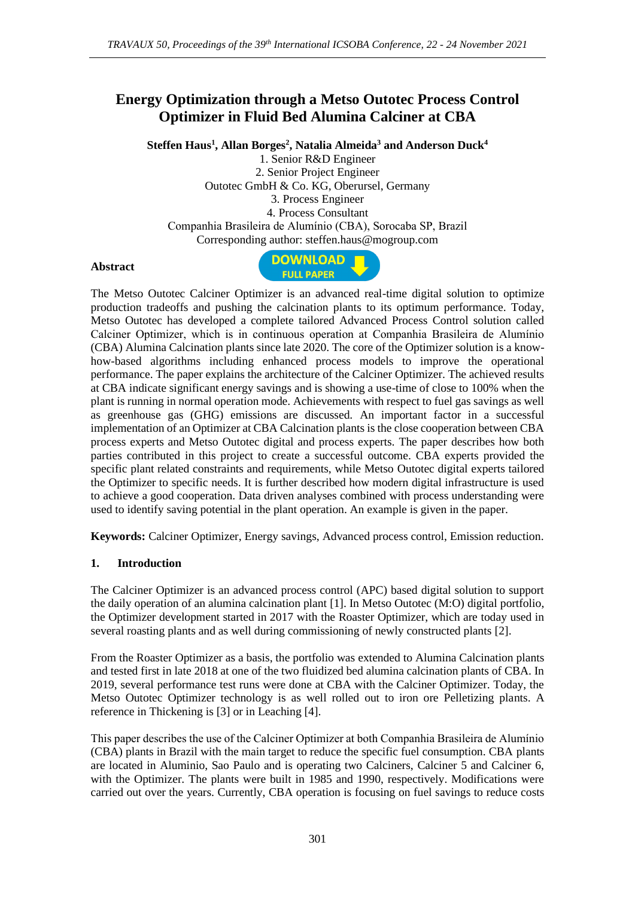# **Energy Optimization through a Metso Outotec Process Control Optimizer in Fluid Bed Alumina Calciner at CBA**

**Steffen Haus<sup>1</sup> , Allan Borges<sup>2</sup> , Natalia Almeida<sup>3</sup> and Anderson Duck<sup>4</sup>**

1. Senior R&D Engineer 2. Senior Project Engineer Outotec GmbH & Co. KG, Oberursel, Germany 3. Process Engineer 4. Process Consultant Companhia Brasileira de Alumínio (CBA), Sorocaba SP, Brazil Corresponding author: steffen.haus@mogroup.com

### **Abstract**



The Metso Outotec Calciner Optimizer is an advanced real-time digital solution to optimize production tradeoffs and pushing the calcination plants to its optimum performance. Today, Metso Outotec has developed a complete tailored Advanced Process Control solution called Calciner Optimizer, which is in continuous operation at Companhia Brasileira de Alumínio (CBA) Alumina Calcination plants since late 2020. The core of the Optimizer solution is a knowhow-based algorithms including enhanced process models to improve the operational performance. The paper explains the architecture of the Calciner Optimizer. The achieved results at CBA indicate significant energy savings and is showing a use-time of close to 100% when the plant is running in normal operation mode. Achievements with respect to fuel gas savings as well as greenhouse gas (GHG) emissions are discussed. An important factor in a successful implementation of an Optimizer at CBA Calcination plants is the close cooperation between CBA process experts and Metso Outotec digital and process experts. The paper describes how both parties contributed in this project to create a successful outcome. CBA experts provided the specific plant related constraints and requirements, while Metso Outotec digital experts tailored the Optimizer to specific needs. It is further described how modern digital infrastructure is used to achieve a good cooperation. Data driven analyses combined with process understanding were used to identify saving potential in the plant operation. An example is given in the paper.

**Keywords:** Calciner Optimizer, Energy savings, Advanced process control, Emission reduction.

### **1. Introduction**

The Calciner Optimizer is an advanced process control (APC) based digital solution to support the daily operation of an alumina calcination plant [1]. In Metso Outotec (M:O) digital portfolio, the Optimizer development started in 2017 with the Roaster Optimizer, which are today used in several roasting plants and as well during commissioning of newly constructed plants [2].

From the Roaster Optimizer as a basis, the portfolio was extended to Alumina Calcination plants and tested first in late 2018 at one of the two fluidized bed alumina calcination plants of CBA. In 2019, several performance test runs were done at CBA with the Calciner Optimizer. Today, the Metso Outotec Optimizer technology is as well rolled out to iron ore Pelletizing plants. A reference in Thickening is [3] or in Leaching [4].

This paper describes the use of the Calciner Optimizer at both Companhia Brasileira de Alumínio (CBA) plants in Brazil with the main target to reduce the specific fuel consumption. CBA plants are located in Aluminio, Sao Paulo and is operating two Calciners, Calciner 5 and Calciner 6, with the Optimizer. The plants were built in 1985 and 1990, respectively. Modifications were carried out over the years. Currently, CBA operation is focusing on fuel savings to reduce costs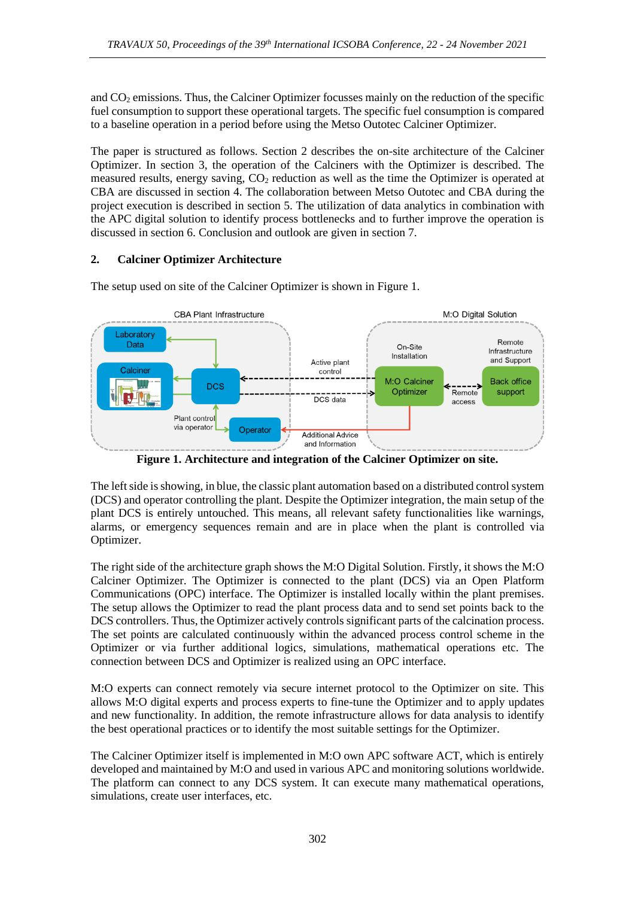and  $CO<sub>2</sub>$  emissions. Thus, the Calciner Optimizer focusses mainly on the reduction of the specific fuel consumption to support these operational targets. The specific fuel consumption is compared to a baseline operation in a period before using the Metso Outotec Calciner Optimizer.

The paper is structured as follows. Section 2 describes the on-site architecture of the Calciner Optimizer. In section 3, the operation of the Calciners with the Optimizer is described. The measured results, energy saving, CO<sup>2</sup> reduction as well as the time the Optimizer is operated at CBA are discussed in section 4. The collaboration between Metso Outotec and CBA during the project execution is described in section 5. The utilization of data analytics in combination with the APC digital solution to identify process bottlenecks and to further improve the operation is discussed in section 6. Conclusion and outlook are given in section 7.

## **2. Calciner Optimizer Architecture**

The setup used on site of the Calciner Optimizer is shown in Figure 1.



**Figure 1. Architecture and integration of the Calciner Optimizer on site.**

The left side is showing, in blue, the classic plant automation based on a distributed control system (DCS) and operator controlling the plant. Despite the Optimizer integration, the main setup of the plant DCS is entirely untouched. This means, all relevant safety functionalities like warnings, alarms, or emergency sequences remain and are in place when the plant is controlled via Optimizer.

The right side of the architecture graph shows the M:O Digital Solution. Firstly, it shows the M:O Calciner Optimizer. The Optimizer is connected to the plant (DCS) via an Open Platform Communications (OPC) interface. The Optimizer is installed locally within the plant premises. The setup allows the Optimizer to read the plant process data and to send set points back to the DCS controllers. Thus, the Optimizer actively controls significant parts of the calcination process. The set points are calculated continuously within the advanced process control scheme in the Optimizer or via further additional logics, simulations, mathematical operations etc. The connection between DCS and Optimizer is realized using an OPC interface.

M:O experts can connect remotely via secure internet protocol to the Optimizer on site. This allows M:O digital experts and process experts to fine-tune the Optimizer and to apply updates and new functionality. In addition, the remote infrastructure allows for data analysis to identify the best operational practices or to identify the most suitable settings for the Optimizer.

The Calciner Optimizer itself is implemented in M:O own APC software ACT, which is entirely developed and maintained by M:O and used in various APC and monitoring solutions worldwide. The platform can connect to any DCS system. It can execute many mathematical operations, simulations, create user interfaces, etc.